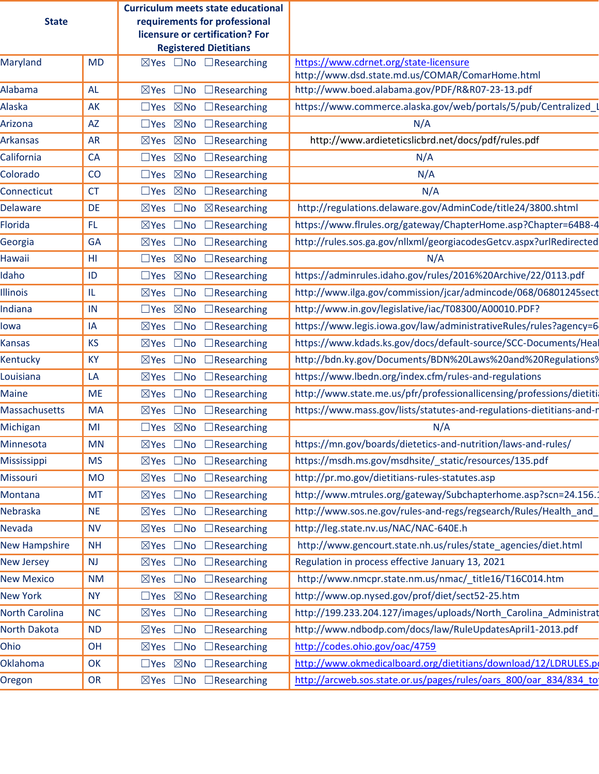| <b>State</b>          |           | <b>Curriculum meets state educational</b><br>requirements for professional<br>licensure or certification? For |                                                                                           |
|-----------------------|-----------|---------------------------------------------------------------------------------------------------------------|-------------------------------------------------------------------------------------------|
|                       |           | <b>Registered Dietitians</b>                                                                                  |                                                                                           |
| Maryland              | <b>MD</b> | $\boxtimes$ Yes $\Box$ No $\Box$ Researching                                                                  | https://www.cdrnet.org/state-licensure<br>http://www.dsd.state.md.us/COMAR/ComarHome.html |
| Alabama               | <b>AL</b> | $\boxtimes$ Yes $\Box$ No<br>$\Box$ Researching                                                               | http://www.boed.alabama.gov/PDF/R&R07-23-13.pdf                                           |
| Alaska                | AK        | $\boxtimes$ No<br>$\square$ Yes<br>$\Box$ Researching                                                         | https://www.commerce.alaska.gov/web/portals/5/pub/Centralized                             |
| Arizona               | <b>AZ</b> | $\square$ Yes $\square$ No $\square$ Researching                                                              | N/A                                                                                       |
| <b>Arkansas</b>       | <b>AR</b> | $\boxtimes$ No<br>$\boxtimes$ Yes<br>$\Box$ Researching                                                       | http://www.ardieteticslicbrd.net/docs/pdf/rules.pdf                                       |
| California            | <b>CA</b> | $\square$ Yes $\square$ No<br>$\Box$ Researching                                                              | N/A                                                                                       |
| Colorado              | CO        | $\boxtimes$ No<br>$\Box$ Researching<br>$\square$ Yes                                                         | N/A                                                                                       |
| Connecticut           | <b>CT</b> | $\square$ Yes $\square$ No<br>$\Box$ Researching                                                              | N/A                                                                                       |
| <b>Delaware</b>       | <b>DE</b> | $\boxtimes$ Researching<br>$\square$ No<br>$\boxtimes$ Yes                                                    | http://regulations.delaware.gov/AdminCode/title24/3800.shtml                              |
| Florida               | FL.       | $\boxtimes$ Yes<br>$\square$ No<br>$\Box$ Researching                                                         | https://www.flrules.org/gateway/ChapterHome.asp?Chapter=64B8-4                            |
| Georgia               | <b>GA</b> | $\square$ No<br>$\boxtimes$ Yes<br>$\Box$ Researching                                                         | http://rules.sos.ga.gov/nllxml/georgiacodesGetcv.aspx?urlRedirected                       |
| Hawaii                | HL        | $\square$ Yes $\square$ No<br>$\Box$ Researching                                                              | N/A                                                                                       |
| Idaho                 | ID        | $\square$ Yes $\square$ No<br>$\Box$ Researching                                                              | https://adminrules.idaho.gov/rules/2016%20Archive/22/0113.pdf                             |
| <b>Illinois</b>       | IL        | ⊠Yes □No<br>$\Box$ Researching                                                                                | http://www.ilga.gov/commission/jcar/admincode/068/06801245sect                            |
| Indiana               | IN        | $\square$ Yes $\square$ No<br>$\Box$ Researching                                                              | http://www.in.gov/legislative/iac/T08300/A00010.PDF?                                      |
| lowa                  | IA        | $\square$ No<br>$\Box$ Researching<br>$\boxtimes$ Yes                                                         | https://www.legis.iowa.gov/law/administrativeRules/rules?agency=6                         |
| Kansas                | <b>KS</b> | $\square$ No<br>$\boxtimes$ Yes<br>$\Box$ Researching                                                         | https://www.kdads.ks.gov/docs/default-source/SCC-Documents/Heal                           |
| Kentucky              | <b>KY</b> | ⊠Yes □No<br>$\Box$ Researching                                                                                | http://bdn.ky.gov/Documents/BDN%20Laws%20and%20Regulations%                               |
| Louisiana             | LA        | $\square$ No<br>$\boxtimes$ Yes<br>$\Box$ Researching                                                         | https://www.lbedn.org/index.cfm/rules-and-regulations                                     |
| Maine                 | <b>ME</b> | $\boxtimes$ Yes $\Box$ No<br>$\Box$ Researching                                                               | http://www.state.me.us/pfr/professionallicensing/professions/dietiti                      |
| <b>Massachusetts</b>  | MA        | $\square$ No<br>$\boxtimes$ Yes<br>$\Box$ Researching                                                         | https://www.mass.gov/lists/statutes-and-regulations-dietitians-and-r                      |
| Michigan              | MI        | $\square$ Yes $\square$ No $\square$ Researching                                                              | N/A                                                                                       |
| Minnesota             | MN        | $\boxtimes$ Yes $\Box$ No $\Box$ Researching                                                                  | https://mn.gov/boards/dietetics-and-nutrition/laws-and-rules/                             |
| Mississippi           | <b>MS</b> | $\boxtimes$ Yes $\Box$ No $\Box$ Researching                                                                  | https://msdh.ms.gov/msdhsite/_static/resources/135.pdf                                    |
| Missouri              | <b>MO</b> | ⊠Yes □No<br>$\Box$ Researching                                                                                | http://pr.mo.gov/dietitians-rules-statutes.asp                                            |
| Montana               | <b>MT</b> | ⊠Yes □No<br>$\Box$ Researching                                                                                | http://www.mtrules.org/gateway/Subchapterhome.asp?scn=24.156.                             |
| Nebraska              | <b>NE</b> | ⊠Yes □No<br>$\Box$ Researching                                                                                | http://www.sos.ne.gov/rules-and-regs/regsearch/Rules/Health_and                           |
| Nevada                | <b>NV</b> | $\boxtimes$ Yes $\Box$ No $\Box$ Researching                                                                  | http://leg.state.nv.us/NAC/NAC-640E.h                                                     |
| <b>New Hampshire</b>  | <b>NH</b> | ⊠Yes □No<br>$\Box$ Researching                                                                                | http://www.gencourt.state.nh.us/rules/state_agencies/diet.html                            |
| <b>New Jersey</b>     | <b>NJ</b> | $\boxtimes$ Yes $\Box$ No $\Box$ Researching                                                                  | Regulation in process effective January 13, 2021                                          |
| <b>New Mexico</b>     | NM        | $\boxtimes$ Yes $\Box$ No $\Box$ Researching                                                                  | http://www.nmcpr.state.nm.us/nmac/_title16/T16C014.htm                                    |
| New York              | <b>NY</b> | $\square$ Yes $\square$ No $\square$ Researching                                                              | http://www.op.nysed.gov/prof/diet/sect52-25.htm                                           |
| <b>North Carolina</b> | <b>NC</b> | $\boxtimes$ Yes $\Box$ No<br>$\Box$ Researching                                                               | http://199.233.204.127/images/uploads/North_Carolina_Administrat                          |
| North Dakota          | <b>ND</b> | ⊠Yes □No<br>$\Box$ Researching                                                                                | http://www.ndbodp.com/docs/law/RuleUpdatesApril1-2013.pdf                                 |
| Ohio                  | OH        | ⊠Yes □No<br>$\Box$ Researching                                                                                | http://codes.ohio.gov/oac/4759                                                            |
| Oklahoma              | OK        | $\Box$ Yes $\boxtimes$ No $\Box$ Researching                                                                  | http://www.okmedicalboard.org/dietitians/download/12/LDRULES.p                            |
| Oregon                | <b>OR</b> | $\boxtimes$ Yes $\Box$ No $\Box$ Researching                                                                  | http://arcweb.sos.state.or.us/pages/rules/oars_800/oar_834/834_to                         |